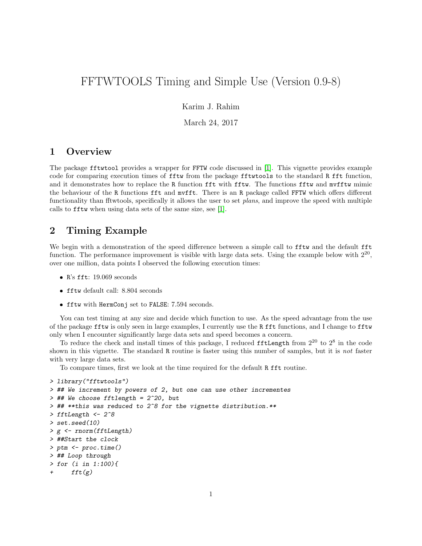# FFTWTOOLS Timing and Simple Use (Version 0.9-8)

Karim J. Rahim

March 24, 2017

### 1 Overview

The package fftwtool provides a wrapper for FFTW code discussed in [\[1\]](#page-2-0). This vignette provides example code for comparing execution times of fftw from the package fftwtools to the standard R fft function, and it demonstrates how to replace the R function fft with fftw. The functions fftw and mvfftw mimic the behaviour of the R functions fft and mvfft. There is an R package called FFTW which offers different functionality than fftwtools, specifically it allows the user to set plans, and improve the speed with multiple calls to fftw when using data sets of the same size, see [\[1\]](#page-2-0).

### 2 Timing Example

We begin with a demonstration of the speed difference between a simple call to **fftw** and the default **fft** function. The performance improvement is visible with large data sets. Using the example below with  $2^{20}$ , over one million, data points I observed the following execution times:

- R's fft: 19.069 seconds
- fftw default call: 8.804 seconds
- fftw with HermConj set to FALSE: 7.594 seconds.

You can test timing at any size and decide which function to use. As the speed advantage from the use of the package fftw is only seen in large examples, I currently use the R fft functions, and I change to fftw only when I encounter significantly large data sets and speed becomes a concern.

To reduce the check and install times of this package, I reduced fftLength from  $2^{20}$  to  $2^8$  in the code shown in this vignette. The standard R routine is faster using this number of samples, but it is not faster with very large data sets.

To compare times, first we look at the time required for the default R fft routine.

```
> library("fftwtools")
> ## We increment by powers of 2, but one can use other incrementes
> ## We choose fftlength = 2^20, but
> ## **this was reduced to 2^8 for the vignette distribution.**
> fftLength <- 2^8
> set.seed(10)
> g <- rnorm(fftLength)
> ##Start the clock
> ptm <- proc.time()
> ## Loop through
> for (i in 1:100){
      fft(g)
```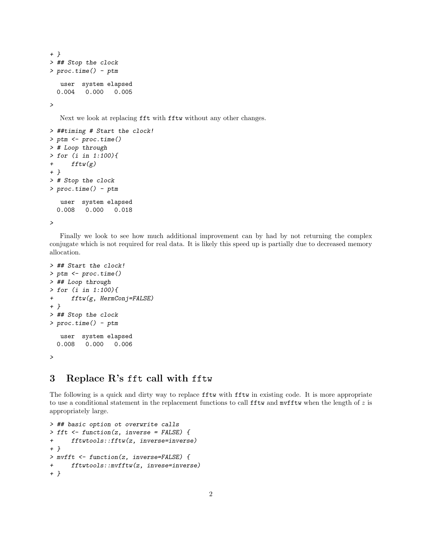```
+ }
> ## Stop the clock
> proc.time() - ptm
  user system elapsed
 0.004 0.000 0.005
>
```
Next we look at replacing fft with fftw without any other changes.

```
> ##timing # Start the clock!
> ptm <- proc.time()
> # Loop through
> for (i in 1:100){
+ fftw(g)+ }
> # Stop the clock
> proc.time() - ptm
  user system elapsed
 0.008 0.000 0.018
>
```
Finally we look to see how much additional improvement can by had by not returning the complex conjugate which is not required for real data. It is likely this speed up is partially due to decreased memory allocation.

```
> ## Start the clock!
> ptm <- proc.time()
> ## Loop through
> for (i in 1:100){
+ fftw(g, HermConj=FALSE)
+ }
> ## Stop the clock
> proc.time() - ptm
  user system elapsed
 0.008 0.000 0.006
>
```
# 3 Replace R's fft call with fftw

The following is a quick and dirty way to replace fftw with fftw in existing code. It is more appropriate to use a conditional statement in the replacement functions to call  $f$ ftw and mvfftw when the length of z is appropriately large.

```
> ## basic option ot overwrite calls
> fft <- function(z, inverse = FALSE) {
+ fftwtools::fftw(z, inverse=inverse)
+ }
> mvfft <- function(z, inverse=FALSE) {
+ fftwtools::mvfftw(z, invese=inverse)
+ }
```